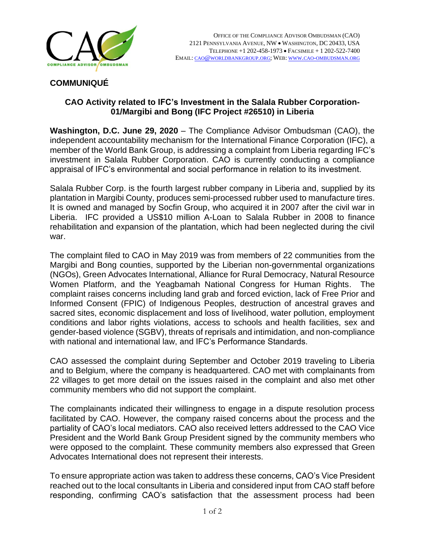

## **COMMUNIQUÉ**

## **CAO Activity related to IFC's Investment in the Salala Rubber Corporation-01/Margibi and Bong (IFC Project #26510) in Liberia**

**Washington, D.C. June 29, 2020** – The Compliance Advisor Ombudsman (CAO), the independent accountability mechanism for the International Finance Corporation (IFC), a member of the World Bank Group, is addressing a complaint from Liberia regarding IFC's investment in Salala Rubber Corporation. CAO is currently conducting a compliance appraisal of IFC's environmental and social performance in relation to its investment.

Salala Rubber Corp. is the fourth largest rubber company in Liberia and, supplied by its plantation in Margibi County, produces semi-processed rubber used to manufacture tires. It is owned and managed by Socfin Group, who acquired it in 2007 after the civil war in Liberia. IFC provided a US\$10 million A-Loan to Salala Rubber in 2008 to finance rehabilitation and expansion of the plantation, which had been neglected during the civil war.

The complaint filed to CAO in May 2019 was from members of 22 communities from the Margibi and Bong counties, supported by the Liberian non-governmental organizations (NGOs), Green Advocates International, Alliance for Rural Democracy, Natural Resource Women Platform, and the Yeagbamah National Congress for Human Rights. The complaint raises concerns including land grab and forced eviction, lack of Free Prior and Informed Consent (FPIC) of Indigenous Peoples, destruction of ancestral graves and sacred sites, economic displacement and loss of livelihood, water pollution, employment conditions and labor rights violations, access to schools and health facilities, sex and gender-based violence (SGBV), threats of reprisals and intimidation, and non-compliance with national and international law, and IFC's Performance Standards.

CAO assessed the complaint during September and October 2019 traveling to Liberia and to Belgium, where the company is headquartered. CAO met with complainants from 22 villages to get more detail on the issues raised in the complaint and also met other community members who did not support the complaint.

The complainants indicated their willingness to engage in a dispute resolution process facilitated by CAO. However, the company raised concerns about the process and the partiality of CAO's local mediators. CAO also received letters addressed to the CAO Vice President and the World Bank Group President signed by the community members who were opposed to the complaint. These community members also expressed that Green Advocates International does not represent their interests.

To ensure appropriate action was taken to address these concerns, CAO's Vice President reached out to the local consultants in Liberia and considered input from CAO staff before responding, confirming CAO's satisfaction that the assessment process had been